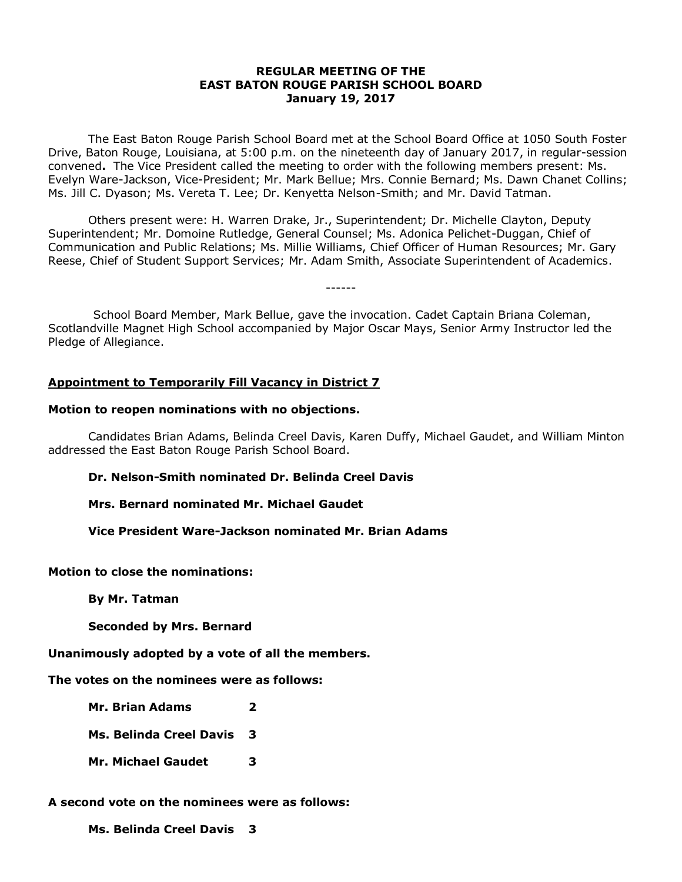## **REGULAR MEETING OF THE EAST BATON ROUGE PARISH SCHOOL BOARD January 19, 2017**

The East Baton Rouge Parish School Board met at the School Board Office at 1050 South Foster Drive, Baton Rouge, Louisiana, at 5:00 p.m. on the nineteenth day of January 2017, in regular-session convened**.** The Vice President called the meeting to order with the following members present: Ms. Evelyn Ware-Jackson, Vice-President; Mr. Mark Bellue; Mrs. Connie Bernard; Ms. Dawn Chanet Collins; Ms. Jill C. Dyason; Ms. Vereta T. Lee; Dr. Kenyetta Nelson-Smith; and Mr. David Tatman.

Others present were: H. Warren Drake, Jr., Superintendent; Dr. Michelle Clayton, Deputy Superintendent; Mr. Domoine Rutledge, General Counsel; Ms. Adonica Pelichet-Duggan, Chief of Communication and Public Relations; Ms. Millie Williams, Chief Officer of Human Resources; Mr. Gary Reese, Chief of Student Support Services; Mr. Adam Smith, Associate Superintendent of Academics.

------

School Board Member, Mark Bellue, gave the invocation. Cadet Captain Briana Coleman, Scotlandville Magnet High School accompanied by Major Oscar Mays, Senior Army Instructor led the Pledge of Allegiance.

# **Appointment to Temporarily Fill Vacancy in District 7**

### **Motion to reopen nominations with no objections.**

Candidates Brian Adams, Belinda Creel Davis, Karen Duffy, Michael Gaudet, and William Minton addressed the East Baton Rouge Parish School Board.

## **Dr. Nelson-Smith nominated Dr. Belinda Creel Davis**

**Mrs. Bernard nominated Mr. Michael Gaudet** 

**Vice President Ware-Jackson nominated Mr. Brian Adams**

## **Motion to close the nominations:**

**By Mr. Tatman**

**Seconded by Mrs. Bernard**

**Unanimously adopted by a vote of all the members.**

## **The votes on the nominees were as follows:**

**Mr. Brian Adams 2**

**Ms. Belinda Creel Davis 3**

**Mr. Michael Gaudet 3**

# **A second vote on the nominees were as follows:**

**Ms. Belinda Creel Davis 3**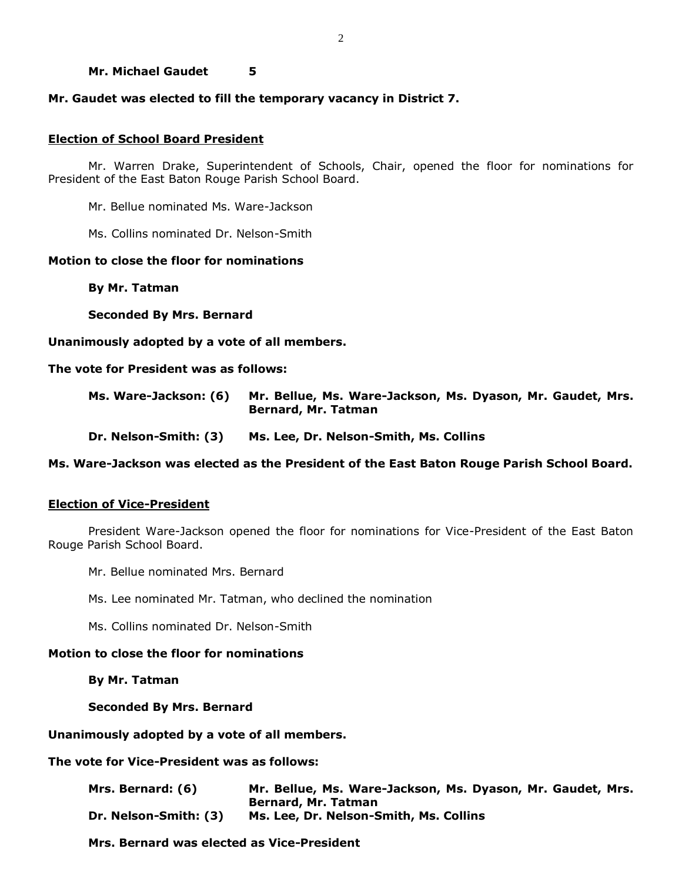### **Mr. Michael Gaudet 5**

## **Mr. Gaudet was elected to fill the temporary vacancy in District 7.**

### **Election of School Board President**

Mr. Warren Drake, Superintendent of Schools, Chair, opened the floor for nominations for President of the East Baton Rouge Parish School Board.

Mr. Bellue nominated Ms. Ware-Jackson

Ms. Collins nominated Dr. Nelson-Smith

## **Motion to close the floor for nominations**

**By Mr. Tatman**

**Seconded By Mrs. Bernard** 

**Unanimously adopted by a vote of all members.**

### **The vote for President was as follows:**

| Ms. Ware-Jackson: (6) | Mr. Bellue, Ms. Ware-Jackson, Ms. Dyason, Mr. Gaudet, Mrs. |
|-----------------------|------------------------------------------------------------|
|                       | Bernard, Mr. Tatman                                        |

**Dr. Nelson-Smith: (3) Ms. Lee, Dr. Nelson-Smith, Ms. Collins**

### **Ms. Ware-Jackson was elected as the President of the East Baton Rouge Parish School Board.**

## **Election of Vice-President**

President Ware-Jackson opened the floor for nominations for Vice-President of the East Baton Rouge Parish School Board.

Mr. Bellue nominated Mrs. Bernard

Ms. Lee nominated Mr. Tatman, who declined the nomination

Ms. Collins nominated Dr. Nelson-Smith

### **Motion to close the floor for nominations**

**By Mr. Tatman**

### **Seconded By Mrs. Bernard**

**Unanimously adopted by a vote of all members.** 

**The vote for Vice-President was as follows:**

| Mrs. Bernard: (6)     | Mr. Bellue, Ms. Ware-Jackson, Ms. Dyason, Mr. Gaudet, Mrs. |
|-----------------------|------------------------------------------------------------|
|                       | Bernard, Mr. Tatman                                        |
| Dr. Nelson-Smith: (3) | Ms. Lee, Dr. Nelson-Smith, Ms. Collins                     |

**Mrs. Bernard was elected as Vice-President**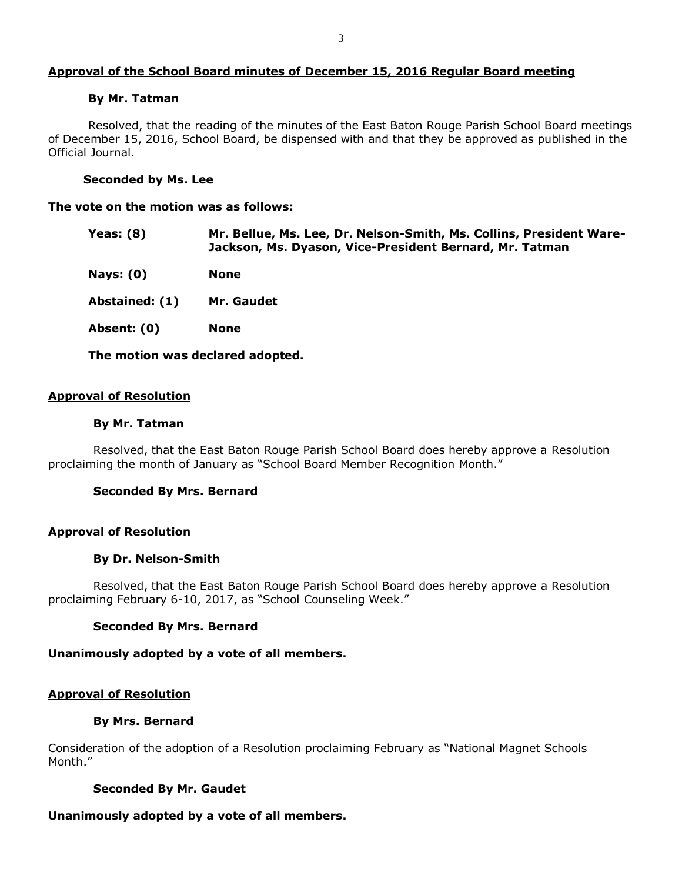## **Approval of the School Board minutes of December 15, 2016 Regular Board meeting**

#### **By Mr. Tatman**

Resolved, that the reading of the minutes of the East Baton Rouge Parish School Board meetings of December 15, 2016, School Board, be dispensed with and that they be approved as published in the Official Journal.

### **Seconded by Ms. Lee**

#### **The vote on the motion was as follows:**

| Yeas: (8) | Mr. Bellue, Ms. Lee, Dr. Nelson-Smith, Ms. Collins, President Ware- |
|-----------|---------------------------------------------------------------------|
|           | Jackson, Ms. Dyason, Vice-President Bernard, Mr. Tatman             |

- **Nays: (0) None**
- **Abstained: (1) Mr. Gaudet**
- **Absent: (0) None**

**The motion was declared adopted.**

### **Approval of Resolution**

#### **By Mr. Tatman**

Resolved, that the East Baton Rouge Parish School Board does hereby approve a Resolution proclaiming the month of January as "School Board Member Recognition Month."

### **Seconded By Mrs. Bernard**

### **Approval of Resolution**

#### **By Dr. Nelson-Smith**

Resolved, that the East Baton Rouge Parish School Board does hereby approve a Resolution proclaiming February 6-10, 2017, as "School Counseling Week."

### **Seconded By Mrs. Bernard**

### **Unanimously adopted by a vote of all members.**

### **Approval of Resolution**

#### **By Mrs. Bernard**

Consideration of the adoption of a Resolution proclaiming February as "National Magnet Schools Month."

### **Seconded By Mr. Gaudet**

### **Unanimously adopted by a vote of all members.**